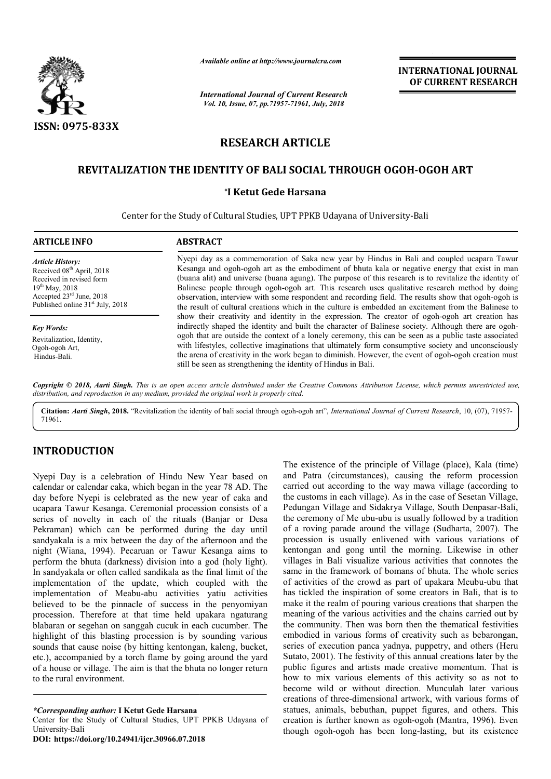

*Available online at http://www.journalcra.com*

*International Journal of Current Research Vol. 10, Issue, 07, pp.71957-71961, July, 2018*

**INTERNATIONAL JOURNAL OF CURRENT RESEARCH**

# **RESEARCH ARTICLE**

# **REVITALIZATION THE IDENTITY OF BALI SOCIAL THROUGH OGOH BALI SOCIAL OGOH-OGOH ART**

#### **\*I Ketut Gede Harsana**

Center for the Study of Cultural Studies, UPT PPKB Udayana of University Udayana of University-Bali

| <b>ARTICLE INFO</b>                                                                                                                                                                             | <b>ABSTRACT</b>                                                                                                                                                                                                                                                                                                                                                                                                                                                                                                                                                                                                        |
|-------------------------------------------------------------------------------------------------------------------------------------------------------------------------------------------------|------------------------------------------------------------------------------------------------------------------------------------------------------------------------------------------------------------------------------------------------------------------------------------------------------------------------------------------------------------------------------------------------------------------------------------------------------------------------------------------------------------------------------------------------------------------------------------------------------------------------|
| <b>Article History:</b><br>Received 08 <sup>th</sup> April, 2018<br>Received in revised form<br>$19^{th}$ May, 2018<br>Accepted 23rd June, 2018<br>Published online 31 <sup>st</sup> July, 2018 | Nyepi day as a commemoration of Saka new year by Hindus in Bali and coupled ucapara Tawur<br>Kesanga and ogoh-ogoh art as the embodiment of bhuta kala or negative energy that exist in man<br>(buana alit) and universe (buana agung). The purpose of this research is to revitalize the identity of<br>Balinese people through ogoh-ogoh art. This research uses qualitative research method by doing<br>observation, interview with some respondent and recording field. The results show that ogoh-ogoh is<br>the result of cultural creations which in the culture is embedded an excitement from the Balinese to |
| <b>Key Words:</b><br>Revitalization, Identity,<br>Ogoh-ogoh Art.<br>Hindus-Bali.                                                                                                                | show their creativity and identity in the expression. The creator of ogoh-ogoh art creation has<br>indirectly shaped the identity and built the character of Balinese society. Although there are ogoh-<br>ogoh that are outside the context of a lonely ceremony, this can be seen as a public taste associated<br>with lifestyles, collective imaginations that ultimately form consumptive society and unconsciously<br>the arena of creativity in the work began to diminish. However, the event of ogoh-ogoh creation must<br>still be seen as strengthening the identity of Hindus in Bali.                      |

Copyright © 2018, Aarti Singh. This is an open access article distributed under the Creative Commons Attribution License, which permits unrestricted use, *distribution, and reproduction in any medium, provided the original work is properly cited.*

Citation: Aarti Singh, 2018. "Revitalization the identity of bali social through ogoh-ogoh art", International Journal of Current Research, 10, (07), 71957-71961.

# **INTRODUCTION**

Nyepi Day is a celebration of Hindu New Year based on calendar or calendar caka, which began in the year 78 AD. The day before Nyepi is celebrated as the new year of caka and ucapara Tawur Kesanga. Ceremonial procession consists of a series of novelty in each of the rituals (Banjar or Desa Pekraman) which can be performed during the day until sandyakala is a mix between the day of the afternoon and the night (Wiana, 1994). Pecaruan or Tawur Kesanga aims to perform the bhuta (darkness) division into a god (holy light). In sandyakala or often called sandikala as the final limit of the implementation of the update, which coupled with the implementation of Meabu-abu activities yatiu activities believed to be the pinnacle of success in the penyomiyan procession. Therefore at that time held upakara ngaturang blabaran or segehan on sanggah cucuk in each cucumber. The highlight of this blasting procession is by sounding various sounds that cause noise (by hitting kentongan, kaleng, bucket, etc.), accompanied by a torch flame by going around the yard of a house or village. The aim is that the bhuta no longer return to the rural environment.

*\*Corresponding author:* **I Ketut Gede Harsana**

Center for the Study of Cultural Studies, UPT PPKB Udayana of University-Bali

**DOI: https://doi.org/10.24941/ijcr.30966.07.2018**

The existence of the principle of Village (place), Kala (time)<br>
in in the year 78 AD. The artired (circumstances), causing the reform procession<br>
in in the year 78 AD. The artired out according to the way mawa village, (ac and Patra (circumstances), causing the reform procession carried out according to the way mawa village (according to the customs in each village). As in the case of Sesetan Village, Pedungan Village and Sidakrya Village, South Denpasar the ceremony of Me ubu-ubu is usually followed by a tradition of a roving parade around the village (Sudharta, 2007). The procession is usually enlivened with various variations of kentongan and gong until the morning. Likewise in other villages in Bali visualize various activities that connotes the same in the framework of bomans of bhuta. The whole series of activities of the crowd as part of upakara Meubu-ubu that has tickled the inspiration of some creators in Bali, that is to make it the realm of pouring various creations that sharpen the meaning of the various activities and the chains carried out by the community. Then was born then the thematical festivities embodied in various forms of creativity such as bebarongan, series of execution panca yadnya, puppetry, and others (Heru Sutato, 2001). The festivity of this annual creations later by the public figures and artists made creative momentum. That is how to mix various elements of this activity so as not to become wild or without direction. Munculah later various creations of three-dimensional artwork, with various forms of statues, animals, bebuthan, puppet figures, and others. This creation is further known as ogoh-ogoh (Mantra, 1996). Even though ogoh-ogoh has been long-lasting, but its existence (circumstances), causing the reform procession according to the way mawa village (according to in each village). As in the case of Sesetan Village, Tillage and Sidakrya Village, South Denpasar-Bali, the ceremony of Me ubu-ubu is usually followed by a tradition of a roving parade around the village (Sudharta, 2007). The procession is usually enlivened with various variations of kentongan and gong until the morning. Lik exted the inspiration of some creators in Bali, that is to it the realm of pouring various creations that sharpen the ng of the various activities and the chains carried out by the community. Then was born then the thematical festivities embodied in various forms of creativity such as bebarongan, series of execution panca yadnya, puppetry, and others (Heru Sutato, 2001). The festivity of this ann public figures and artists made creative momentum. That is<br>how to mix various elements of this activity so as not to<br>become wild or without direction. Munculah later various<br>creations of three-dimensional artwork, with var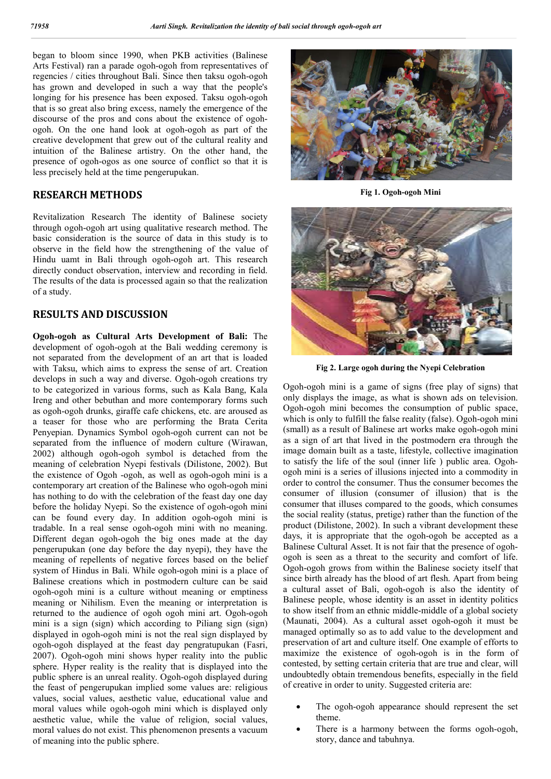began to bloom since 1990, when PKB activities (Balinese Arts Festival) ran a parade ogoh-ogoh from representatives of regencies / cities throughout Bali. Since then taksu ogoh-ogoh has grown and developed in such a way that the people's longing for his presence has been exposed. Taksu ogoh-ogoh that is so great also bring excess, namely the emergence of the discourse of the pros and cons about the existence of ogohogoh. On the one hand look at ogoh-ogoh as part of the creative development that grew out of the cultural reality and intuition of the Balinese artistry. On the other hand, the presence of ogoh-ogos as one source of conflict so that it is less precisely held at the time pengerupukan.

### **RESEARCH METHODS**

Revitalization Research The identity of Balinese society through ogoh-ogoh art using qualitative research method. The basic consideration is the source of data in this study is to observe in the field how the strengthening of the value of Hindu uamt in Bali through ogoh-ogoh art. This research directly conduct observation, interview and recording in field. The results of the data is processed again so that the realization of a study.

### **RESULTS AND DISCUSSION**

**Ogoh-ogoh as Cultural Arts Development of Bali:** The development of ogoh-ogoh at the Bali wedding ceremony is not separated from the development of an art that is loaded with Taksu, which aims to express the sense of art. Creation develops in such a way and diverse. Ogoh-ogoh creations try to be categorized in various forms, such as Kala Bang, Kala Ireng and other bebuthan and more contemporary forms such as ogoh-ogoh drunks, giraffe cafe chickens, etc. are aroused as a teaser for those who are performing the Brata Cerita Penyepian. Dynamics Symbol ogoh-ogoh current can not be separated from the influence of modern culture (Wirawan, 2002) although ogoh-ogoh symbol is detached from the meaning of celebration Nyepi festivals (Dilistone, 2002). But the existence of Ogoh -ogoh, as well as ogoh-ogoh mini is a contemporary art creation of the Balinese who ogoh-ogoh mini has nothing to do with the celebration of the feast day one day before the holiday Nyepi. So the existence of ogoh-ogoh mini can be found every day. In addition ogoh-ogoh mini is tradable. In a real sense ogoh-ogoh mini with no meaning. Different degan ogoh-ogoh the big ones made at the day pengerupukan (one day before the day nyepi), they have the meaning of repellents of negative forces based on the belief system of Hindus in Bali. While ogoh-ogoh mini is a place of Balinese creations which in postmodern culture can be said ogoh-ogoh mini is a culture without meaning or emptiness meaning or Nihilism. Even the meaning or interpretation is returned to the audience of ogoh ogoh mini art. Ogoh-ogoh mini is a sign (sign) which according to Piliang sign (sign) displayed in ogoh-ogoh mini is not the real sign displayed by ogoh-ogoh displayed at the feast day pengratupukan (Fasri, 2007). Ogoh-ogoh mini shows hyper reality into the public sphere. Hyper reality is the reality that is displayed into the public sphere is an unreal reality. Ogoh-ogoh displayed during the feast of pengerupukan implied some values are: religious values, social values, aesthetic value, educational value and moral values while ogoh-ogoh mini which is displayed only aesthetic value, while the value of religion, social values, moral values do not exist. This phenomenon presents a vacuum of meaning into the public sphere.



**Fig 1. Ogoh-ogoh Mini**



**Fig 2. Large ogoh during the Nyepi Celebration**

Ogoh-ogoh mini is a game of signs (free play of signs) that only displays the image, as what is shown ads on television. Ogoh-ogoh mini becomes the consumption of public space, which is only to fulfill the false reality (false). Ogoh-ogoh mini (small) as a result of Balinese art works make ogoh-ogoh mini as a sign of art that lived in the postmodern era through the image domain built as a taste, lifestyle, collective imagination to satisfy the life of the soul (inner life ) public area. Ogohogoh mini is a series of illusions injected into a commodity in order to control the consumer. Thus the consumer becomes the consumer of illusion (consumer of illusion) that is the consumer that illuses compared to the goods, which consumes the social reality (status, pretige) rather than the function of the product (Dilistone, 2002). In such a vibrant development these days, it is appropriate that the ogoh-ogoh be accepted as a Balinese Cultural Asset. It is not fair that the presence of ogohogoh is seen as a threat to the security and comfort of life. Ogoh-ogoh grows from within the Balinese society itself that since birth already has the blood of art flesh. Apart from being a cultural asset of Bali, ogoh-ogoh is also the identity of Balinese people, whose identity is an asset in identity politics to show itself from an ethnic middle-middle of a global society (Maunati, 2004). As a cultural asset ogoh-ogoh it must be managed optimally so as to add value to the development and preservation of art and culture itself. One example of efforts to maximize the existence of ogoh-ogoh is in the form of contested, by setting certain criteria that are true and clear, will undoubtedly obtain tremendous benefits, especially in the field of creative in order to unity. Suggested criteria are:

- The ogoh-ogoh appearance should represent the set theme.
- There is a harmony between the forms ogoh-ogoh, story, dance and tabuhnya.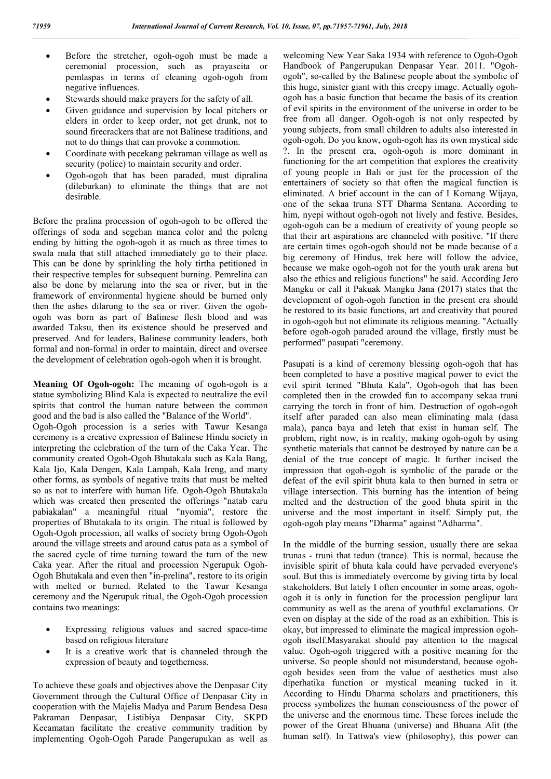- Before the stretcher, ogoh-ogoh must be made a ceremonial procession, such as prayascita or pemlaspas in terms of cleaning ogoh-ogoh from negative influences.
- Stewards should make prayers for the safety of all.
- Given guidance and supervision by local pitchers or elders in order to keep order, not get drunk, not to sound firecrackers that are not Balinese traditions, and not to do things that can provoke a commotion.
- Coordinate with pecekang pekraman village as well as security (police) to maintain security and order.
- Ogoh-ogoh that has been paraded, must dipralina (dileburkan) to eliminate the things that are not desirable.

Before the pralina procession of ogoh-ogoh to be offered the offerings of soda and segehan manca color and the poleng ending by hitting the ogoh-ogoh it as much as three times to swala mala that still attached immediately go to their place. This can be done by sprinkling the holy tirtha petitioned in their respective temples for subsequent burning. Pemrelina can also be done by melarung into the sea or river, but in the framework of environmental hygiene should be burned only then the ashes dilarung to the sea or river. Given the ogohogoh was born as part of Balinese flesh blood and was awarded Taksu, then its existence should be preserved and preserved. And for leaders, Balinese community leaders, both formal and non-formal in order to maintain, direct and oversee the development of celebration ogoh-ogoh when it is brought.

**Meaning Of Ogoh-ogoh:** The meaning of ogoh-ogoh is a statue symbolizing Blind Kala is expected to neutralize the evil spirits that control the human nature between the common good and the bad is also called the "Balance of the World".

Ogoh-Ogoh procession is a series with Tawur Kesanga ceremony is a creative expression of Balinese Hindu society in interpreting the celebration of the turn of the Caka Year. The community created Ogoh-Ogoh Bhutakala such as Kala Bang, Kala Ijo, Kala Dengen, Kala Lampah, Kala Ireng, and many other forms, as symbols of negative traits that must be melted so as not to interfere with human life. Ogoh-Ogoh Bhutakala which was created then presented the offerings "natab caru pabiakalan" a meaningful ritual "nyomia", restore the properties of Bhutakala to its origin. The ritual is followed by Ogoh-Ogoh procession, all walks of society bring Ogoh-Ogoh around the village streets and around catus pata as a symbol of the sacred cycle of time turning toward the turn of the new Caka year. After the ritual and procession Ngerupuk Ogoh-Ogoh Bhutakala and even then "in-prelina", restore to its origin with melted or burned. Related to the Tawur Kesanga ceremony and the Ngerupuk ritual, the Ogoh-Ogoh procession contains two meanings:

- Expressing religious values and sacred space-time based on religious literature
- It is a creative work that is channeled through the expression of beauty and togetherness.

To achieve these goals and objectives above the Denpasar City Government through the Cultural Office of Denpasar City in cooperation with the Majelis Madya and Parum Bendesa Desa Pakraman Denpasar, Listibiya Denpasar City, SKPD Kecamatan facilitate the creative community tradition by implementing Ogoh-Ogoh Parade Pangerupukan as well as

welcoming New Year Saka 1934 with reference to Ogoh-Ogoh Handbook of Pangerupukan Denpasar Year. 2011. "Ogohogoh", so-called by the Balinese people about the symbolic of this huge, sinister giant with this creepy image. Actually ogohogoh has a basic function that became the basis of its creation of evil spirits in the environment of the universe in order to be free from all danger. Ogoh-ogoh is not only respected by young subjects, from small children to adults also interested in ogoh-ogoh. Do you know, ogoh-ogoh has its own mystical side ?. In the present era, ogoh-ogoh is more dominant in functioning for the art competition that explores the creativity of young people in Bali or just for the procession of the entertainers of society so that often the magical function is eliminated. A brief account in the can of I Komang Wijaya, one of the sekaa truna STT Dharma Sentana. According to him, nyepi without ogoh-ogoh not lively and festive. Besides, ogoh-ogoh can be a medium of creativity of young people so that their art aspirations are channeled with positive. "If there are certain times ogoh-ogoh should not be made because of a big ceremony of Hindus, trek here will follow the advice, because we make ogoh-ogoh not for the youth urak arena but also the ethics and religious functions" he said. According Jero Mangku or call it Pakuak Mangku Jana (2017) states that the development of ogoh-ogoh function in the present era should be restored to its basic functions, art and creativity that poured in ogoh-ogoh but not eliminate its religious meaning. "Actually before ogoh-ogoh paraded around the village, firstly must be performed" pasupati "ceremony.

Pasupati is a kind of ceremony blessing ogoh-ogoh that has been completed to have a positive magical power to evict the evil spirit termed "Bhuta Kala". Ogoh-ogoh that has been completed then in the crowded fun to accompany sekaa truni carrying the torch in front of him. Destruction of ogoh-ogoh itself after paraded can also mean eliminating mala (dasa mala), panca baya and leteh that exist in human self. The problem, right now, is in reality, making ogoh-ogoh by using synthetic materials that cannot be destroyed by nature can be a denial of the true concept of magic. It further incised the impression that ogoh-ogoh is symbolic of the parade or the defeat of the evil spirit bhuta kala to then burned in setra or village intersection. This burning has the intention of being melted and the destruction of the good bhuta spirit in the universe and the most important in itself. Simply put, the ogoh-ogoh play means "Dharma" against "Adharma".

In the middle of the burning session, usually there are sekaa trunas - truni that tedun (trance). This is normal, because the invisible spirit of bhuta kala could have pervaded everyone's soul. But this is immediately overcome by giving tirta by local stakeholders. But lately I often encounter in some areas, ogohogoh it is only in function for the procession penglipur lara community as well as the arena of youthful exclamations. Or even on display at the side of the road as an exhibition. This is okay, but impressed to eliminate the magical impression ogohogoh itself.Masyarakat should pay attention to the magical value. Ogoh-ogoh triggered with a positive meaning for the universe. So people should not misunderstand, because ogohogoh besides seen from the value of aesthetics must also diperhatika function or mystical meaning tucked in it. According to Hindu Dharma scholars and practitioners, this process symbolizes the human consciousness of the power of the universe and the enormous time. These forces include the power of the Great Bhuana (universe) and Bhuana Alit (the human self). In Tattwa's view (philosophy), this power can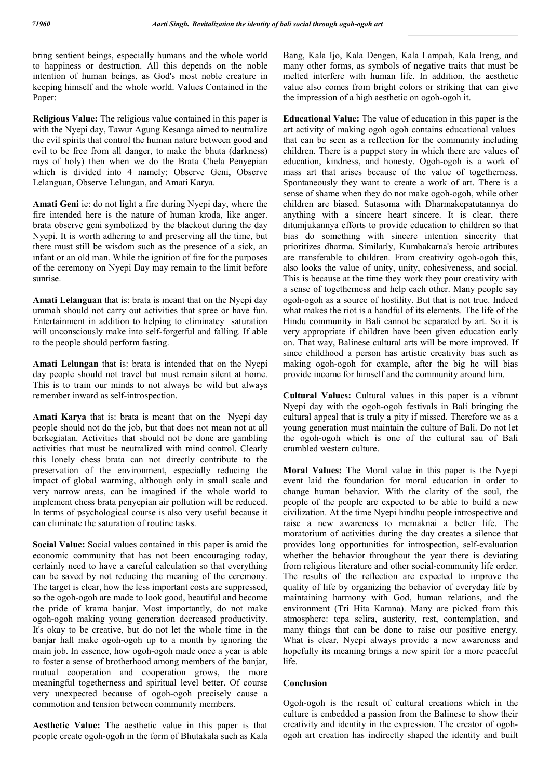bring sentient beings, especially humans and the whole world to happiness or destruction. All this depends on the noble intention of human beings, as God's most noble creature in keeping himself and the whole world. Values Contained in the Paper:

**Religious Value:** The religious value contained in this paper is with the Nyepi day, Tawur Agung Kesanga aimed to neutralize the evil spirits that control the human nature between good and evil to be free from all danger, to make the bhuta (darkness) rays of holy) then when we do the Brata Chela Penyepian which is divided into 4 namely: Observe Geni, Observe Lelanguan, Observe Lelungan, and Amati Karya.

**Amati Geni** ie: do not light a fire during Nyepi day, where the fire intended here is the nature of human kroda, like anger. brata observe geni symbolized by the blackout during the day Nyepi. It is worth adhering to and preserving all the time, but there must still be wisdom such as the presence of a sick, an infant or an old man. While the ignition of fire for the purposes of the ceremony on Nyepi Day may remain to the limit before sunrise.

**Amati Lelanguan** that is: brata is meant that on the Nyepi day ummah should not carry out activities that spree or have fun. Entertainment in addition to helping to eliminatey saturation will unconsciously make into self-forgetful and falling. If able to the people should perform fasting.

**Amati Lelungan** that is: brata is intended that on the Nyepi day people should not travel but must remain silent at home. This is to train our minds to not always be wild but always remember inward as self-introspection.

**Amati Karya** that is: brata is meant that on the Nyepi day people should not do the job, but that does not mean not at all berkegiatan. Activities that should not be done are gambling activities that must be neutralized with mind control. Clearly this lonely chess brata can not directly contribute to the preservation of the environment, especially reducing the impact of global warming, although only in small scale and very narrow areas, can be imagined if the whole world to implement chess brata penyepian air pollution will be reduced. In terms of psychological course is also very useful because it can eliminate the saturation of routine tasks.

**Social Value:** Social values contained in this paper is amid the economic community that has not been encouraging today, certainly need to have a careful calculation so that everything can be saved by not reducing the meaning of the ceremony. The target is clear, how the less important costs are suppressed, so the ogoh-ogoh are made to look good, beautiful and become the pride of krama banjar. Most importantly, do not make ogoh-ogoh making young generation decreased productivity. It's okay to be creative, but do not let the whole time in the banjar hall make ogoh-ogoh up to a month by ignoring the main job. In essence, how ogoh-ogoh made once a year is able to foster a sense of brotherhood among members of the banjar, mutual cooperation and cooperation grows, the more meaningful togetherness and spiritual level better. Of course very unexpected because of ogoh-ogoh precisely cause a commotion and tension between community members.

**Aesthetic Value:** The aesthetic value in this paper is that people create ogoh-ogoh in the form of Bhutakala such as Kala Bang, Kala Ijo, Kala Dengen, Kala Lampah, Kala Ireng, and many other forms, as symbols of negative traits that must be melted interfere with human life. In addition, the aesthetic value also comes from bright colors or striking that can give the impression of a high aesthetic on ogoh-ogoh it.

**Educational Value:** The value of education in this paper is the art activity of making ogoh ogoh contains educational values that can be seen as a reflection for the community including children. There is a puppet story in which there are values of education, kindness, and honesty. Ogoh-ogoh is a work of mass art that arises because of the value of togetherness. Spontaneously they want to create a work of art. There is a sense of shame when they do not make ogoh-ogoh, while other children are biased. Sutasoma with Dharmakepatutannya do anything with a sincere heart sincere. It is clear, there ditumjukannya efforts to provide education to children so that bias do something with sincere intention sincerity that prioritizes dharma. Similarly, Kumbakarna's heroic attributes are transferable to children. From creativity ogoh-ogoh this, also looks the value of unity, unity, cohesiveness, and social. This is because at the time they work they pour creativity with a sense of togetherness and help each other. Many people say ogoh-ogoh as a source of hostility. But that is not true. Indeed what makes the riot is a handful of its elements. The life of the Hindu community in Bali cannot be separated by art. So it is very appropriate if children have been given education early on. That way, Balinese cultural arts will be more improved. If since childhood a person has artistic creativity bias such as making ogoh-ogoh for example, after the big he will bias provide income for himself and the community around him.

**Cultural Values:** Cultural values in this paper is a vibrant Nyepi day with the ogoh-ogoh festivals in Bali bringing the cultural appeal that is truly a pity if missed. Therefore we as a young generation must maintain the culture of Bali. Do not let the ogoh-ogoh which is one of the cultural sau of Bali crumbled western culture.

**Moral Values:** The Moral value in this paper is the Nyepi event laid the foundation for moral education in order to change human behavior. With the clarity of the soul, the people of the people are expected to be able to build a new civilization. At the time Nyepi hindhu people introspective and raise a new awareness to memaknai a better life. The moratorium of activities during the day creates a silence that provides long opportunities for introspection, self-evaluation whether the behavior throughout the year there is deviating from religious literature and other social-community life order. The results of the reflection are expected to improve the quality of life by organizing the behavior of everyday life by maintaining harmony with God, human relations, and the environment (Tri Hita Karana). Many are picked from this atmosphere: tepa selira, austerity, rest, contemplation, and many things that can be done to raise our positive energy. What is clear, Nyepi always provide a new awareness and hopefully its meaning brings a new spirit for a more peaceful life.

#### **Conclusion**

Ogoh-ogoh is the result of cultural creations which in the culture is embedded a passion from the Balinese to show their creativity and identity in the expression. The creator of ogohogoh art creation has indirectly shaped the identity and built